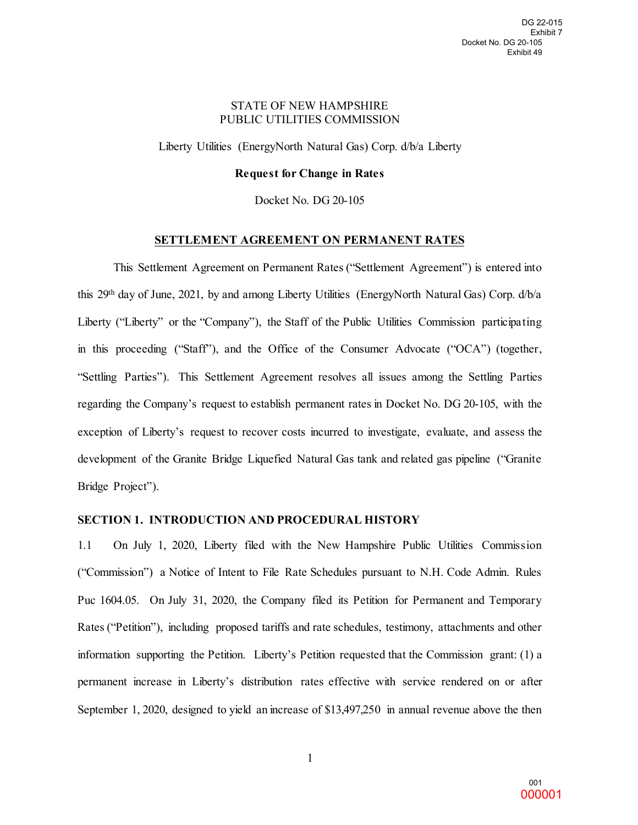### STATE OF NEW HAMPSHIRE PUBLIC UTILITIES COMMISSION

Liberty Utilities (EnergyNorth Natural Gas) Corp. d/b/a Liberty

### **Request for Change in Rates**

Docket No. DG 20-105

# **SETTLEMENT AGREEMENT ON PERMANENT RATES**

This Settlement Agreement on Permanent Rates ("Settlement Agreement") is entered into this 29th day of June, 2021, by and among Liberty Utilities (EnergyNorth Natural Gas) Corp. d/b/a Liberty ("Liberty" or the "Company"), the Staff of the Public Utilities Commission participating in this proceeding ("Staff"), and the Office of the Consumer Advocate ("OCA") (together, "Settling Parties"). This Settlement Agreement resolves all issues among the Settling Parties regarding the Company's request to establish permanent rates in Docket No. DG 20-105, with the exception of Liberty's request to recover costs incurred to investigate, evaluate, and assess the development of the Granite Bridge Liquefied Natural Gas tank and related gas pipeline ("Granite Bridge Project"). Docket No. DG 20-105<br>Exhibit 49<br>
(2010)<br>
Exhibit 49<br>
(2010)<br>
DOCA") (together,<br>
Exhibit 49<br>
(CA") (together,<br>
Exhibit 49<br>
(CA") (together,<br>
Exhibit 49<br>
(CA") (together,<br>
Exhibit 49<br>
(CA") (together,<br>
Exhibit 49<br>
(CA") (to 000001 DG 22-015

#### **SECTION 1. INTRODUCTION AND PROCEDURAL HISTORY**

1.1 On July 1, 2020, Liberty filed with the New Hampshire Public Utilities Commission ("Commission") a Notice of Intent to File Rate Schedules pursuant to N.H. Code Admin. Rules Puc 1604.05. On July 31, 2020, the Company filed its Petition for Permanent and Temporary Rates ("Petition"), including proposed tariffs and rate schedules, testimony, attachments and other information supporting the Petition. Liberty's Petition requested that the Commission grant: (1) a permanent increase in Liberty's distribution rates effective with service rendered on or after September 1, 2020, designed to yield an increase of \$13,497,250 in annual revenue above the then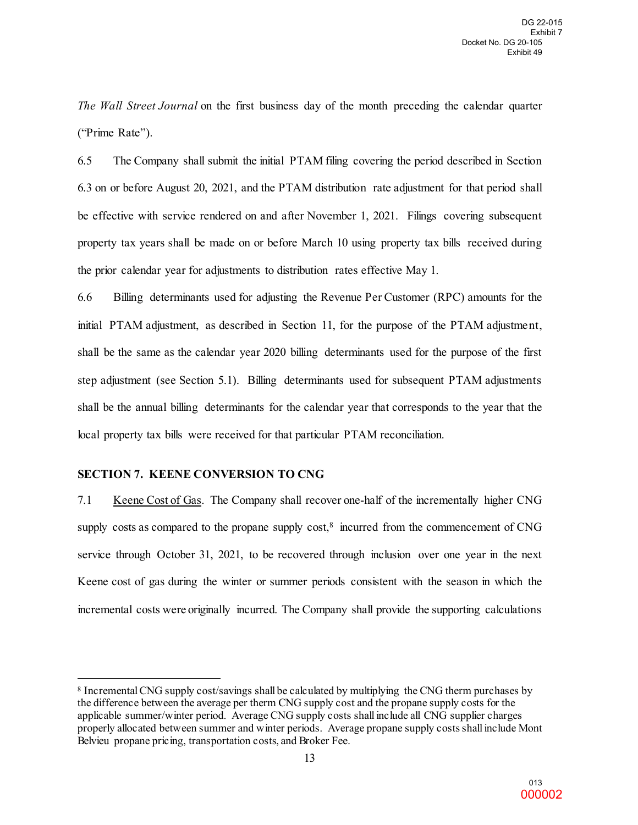*The Wall Street Journal* on the first business day of the month preceding the calendar quarter ("Prime Rate").

6.5 The Company shall submit the initial PTAM filing covering the period described in Section 6.3 on or before August 20, 2021, and the PTAM distribution rate adjustment for that period shall be effective with service rendered on and after November 1, 2021. Filings covering subsequent property tax years shall be made on or before March 10 using property tax bills received during the prior calendar year for adjustments to distribution rates effective May 1.

6.6 Billing determinants used for adjusting the Revenue Per Customer (RPC) amounts for the initial PTAM adjustment, as described in Section 11, for the purpose of the PTAM adjustment, shall be the same as the calendar year 2020 billing determinants used for the purpose of the first step adjustment (see Section 5.1). Billing determinants used for subsequent PTAM adjustments shall be the annual billing determinants for the calendar year that corresponds to the year that the local property tax bills were received for that particular PTAM reconciliation. Docket No. DG 20-105<br>Exhibit 49<br>calendar quarter<br>cribed in Section<br>that period shall<br>ering subsequent<br>received during<br>) amounts for the<br>AM adjustment,<br>rpose of the first<br>AM adjustments<br>the year that the<br>ally higher CNG<br>yea DG 22-015<br>Exhibit 7<br>C-105<br>C-105<br>ibit 49<br>arter<br>sibit 49<br>arter<br>tion<br>shall<br>uent<br>img<br>prints first<br>tion<br>shall<br>uent<br>img<br>prints the ent,<br>first<br>chist<br>chist<br>chist<br>chist<br>chist<br>chist<br>chist<br>chist<br>chist<br>chist<br>chist<br>chist<br>chist<br>chist<br>ch

### **SECTION 7. KEENE CONVERSION TO CNG**

l

7.1 Keene Cost of Gas. The Company shall recover one-half of the incrementally higher CNG supply costs as compared to the propane supply cost, $8$  incurred from the commencement of CNG service through October 31, 2021, to be recovered through inclusion over one year in the next Keene cost of gas during the winter or summer periods consistent with the season in which the incremental costs were originally incurred. The Company shall provide the supporting calculations

<span id="page-1-0"></span><sup>8</sup> Incremental CNG supply cost/savings shall be calculated by multiplying the CNG therm purchases by the difference between the average per therm CNG supply cost and the propane supply costs for the applicable summer/winter period. Average CNG supply costs shall include all CNG supplier charges properly allocated between summer and winter periods. Average propane supply costsshall include Mont Belvieu propane pricing, transportation costs, and Broker Fee.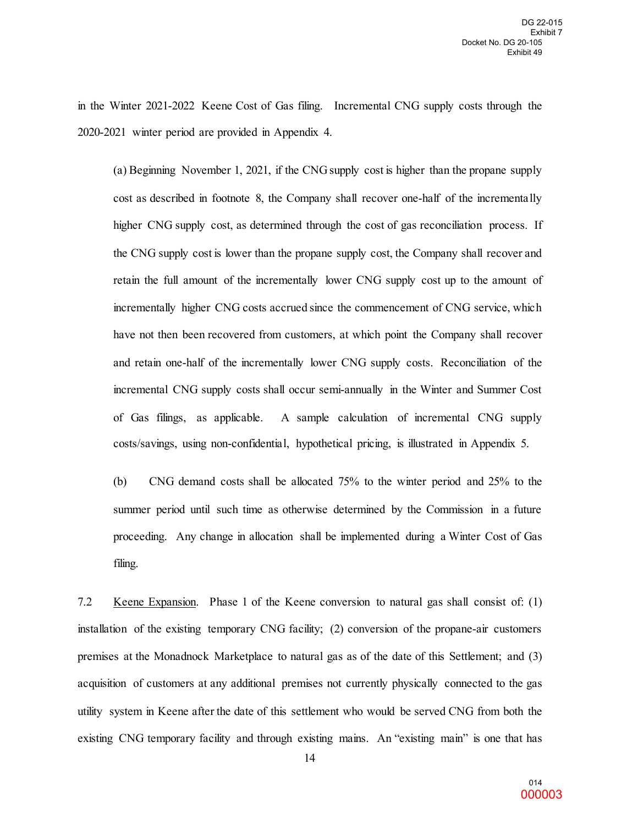in the Winter 2021-2022 Keene Cost of Gas filing. Incremental CNG supply costs through the 2020-2021 winter period are provided in Appendix 4.

(a) Beginning November 1, 2021, if the CNG supply cost is higher than the propane supply cost as described in footnote 8, the Company shall recover one-half of the incrementally higher CNG supply cost, as determined through the cost of gas reconciliation process. If the CNG supply cost is lower than the propane supply cost, the Company shall recover and retain the full amount of the incrementally lower CNG supply cost up to the amount of incrementally higher CNG costs accrued since the commencement of CNG service, which have not then been recovered from customers, at which point the Company shall recover and retain one-half of the incrementally lower CNG supply costs. Reconciliation of the incremental CNG supply costs shall occur semi-annually in the Winter and Summer Cost of Gas filings, as applicable. A sample calculation of incremental CNG supply costs/savings, using non-confidential, hypothetical pricing, is illustrated in Appendix 5. Docket No. DG 20-105<br>
Exhibit 49<br>
costs through the<br>
e propane supply<br>
the incrementally<br>
tion process. If<br>
shall recover and<br>
to the amount of<br>
G service, which<br>
any shall recover<br>
onciliation of the<br>
md Summer Cost<br>
al C DG 22-015<br>
Exhibit 7<br>
C-105<br>
Exhibit 7<br>
C-105<br>
ibit 49<br>
u the<br>
pply<br>
tally<br>
s. If<br>
and<br>
at of<br>
hich<br>
over<br>
f the<br>
Cost<br>
pply<br>
5.<br>
b the<br>
ture<br>
Gas<br>
: (1)<br>
(1)<br>
S.<br>
if (1)<br>
1)<br>
5.<br>
if (1)<br>
5.<br>
1)<br>
5.<br>
1)<br>
5.<br>
1)<br>
5.<br>
1)<br>
1)

(b) CNG demand costs shall be allocated 75% to the winter period and 25% to the summer period until such time as otherwise determined by the Commission in a future proceeding. Any change in allocation shall be implemented during a Winter Cost of Gas filing.

7.2 Keene Expansion. Phase 1 of the Keene conversion to natural gas shall consist of: (1) installation of the existing temporary CNG facility; (2) conversion of the propane-air customers premises at the Monadnock Marketplace to natural gas as of the date of this Settlement; and (3) acquisition of customers at any additional premises not currently physically connected to the gas utility system in Keene after the date of this settlement who would be served CNG from both the existing CNG temporary facility and through existing mains. An "existing main" is one that has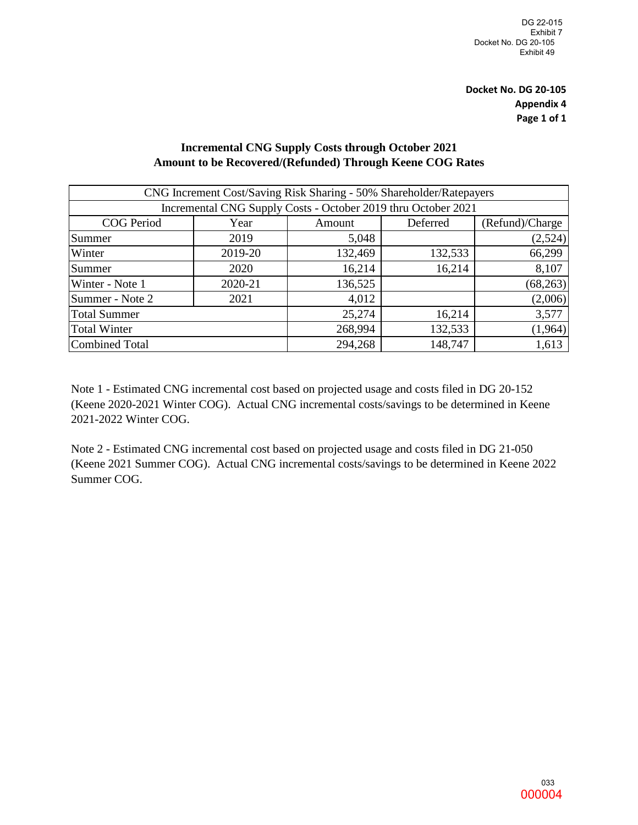# **Incremental CNG Supply Costs through October 2021 Amount to be Recovered/(Refunded) Through Keene COG Rates**

|                                                                                                                                                                                                              |         |                                                                                                                                                                                              |          | DG 22-015<br>Exhibit 7<br>Docket No. DG 20-105<br>Exhibit 49 |  |  |
|--------------------------------------------------------------------------------------------------------------------------------------------------------------------------------------------------------------|---------|----------------------------------------------------------------------------------------------------------------------------------------------------------------------------------------------|----------|--------------------------------------------------------------|--|--|
|                                                                                                                                                                                                              |         |                                                                                                                                                                                              |          | <b>Docket No. DG 20-105</b><br><b>Appendix 4</b>             |  |  |
|                                                                                                                                                                                                              |         |                                                                                                                                                                                              |          | Page 1 of 1                                                  |  |  |
|                                                                                                                                                                                                              |         | <b>Incremental CNG Supply Costs through October 2021</b><br>Amount to be Recovered/(Refunded) Through Keene COG Rates<br>CNG Increment Cost/Saving Risk Sharing - 50% Shareholder/Ratepayers |          |                                                              |  |  |
|                                                                                                                                                                                                              |         | Incremental CNG Supply Costs - October 2019 thru October 2021                                                                                                                                |          |                                                              |  |  |
| <b>COG</b> Period                                                                                                                                                                                            | Year    | Amount                                                                                                                                                                                       | Deferred | (Refund)/Charge                                              |  |  |
| Summer                                                                                                                                                                                                       | 2019    | 5,048                                                                                                                                                                                        |          | (2,524)                                                      |  |  |
| Winter                                                                                                                                                                                                       | 2019-20 | 132,469                                                                                                                                                                                      | 132,533  | 66,299                                                       |  |  |
| Summer                                                                                                                                                                                                       | 2020    | 16,214                                                                                                                                                                                       | 16,214   | 8,107                                                        |  |  |
| Winter - Note 1                                                                                                                                                                                              | 2020-21 | 136,525                                                                                                                                                                                      |          | (68,263)                                                     |  |  |
| Summer - Note 2                                                                                                                                                                                              | 2021    | 4,012                                                                                                                                                                                        |          | (2,006)                                                      |  |  |
| <b>Total Summer</b>                                                                                                                                                                                          |         | 25,274                                                                                                                                                                                       | 16,214   | 3,577                                                        |  |  |
| <b>Total Winter</b>                                                                                                                                                                                          |         | 268,994                                                                                                                                                                                      | 132,533  | (1,964)                                                      |  |  |
| <b>Combined Total</b>                                                                                                                                                                                        |         | 294,268                                                                                                                                                                                      | 148,747  | 1,613                                                        |  |  |
| Note 2 - Estimated CNG incremental cost based on projected usage and costs filed in DG 21-050<br>(Keene 2021 Summer COG). Actual CNG incremental costs/savings to be determined in Keene 2022<br>Summer COG. |         |                                                                                                                                                                                              |          |                                                              |  |  |
|                                                                                                                                                                                                              |         |                                                                                                                                                                                              |          |                                                              |  |  |
|                                                                                                                                                                                                              |         |                                                                                                                                                                                              |          |                                                              |  |  |
|                                                                                                                                                                                                              |         |                                                                                                                                                                                              |          |                                                              |  |  |
|                                                                                                                                                                                                              |         |                                                                                                                                                                                              |          |                                                              |  |  |
|                                                                                                                                                                                                              |         |                                                                                                                                                                                              |          |                                                              |  |  |
|                                                                                                                                                                                                              |         |                                                                                                                                                                                              |          |                                                              |  |  |
|                                                                                                                                                                                                              |         |                                                                                                                                                                                              |          |                                                              |  |  |
|                                                                                                                                                                                                              |         |                                                                                                                                                                                              |          |                                                              |  |  |
|                                                                                                                                                                                                              |         |                                                                                                                                                                                              |          | 033<br>000004                                                |  |  |